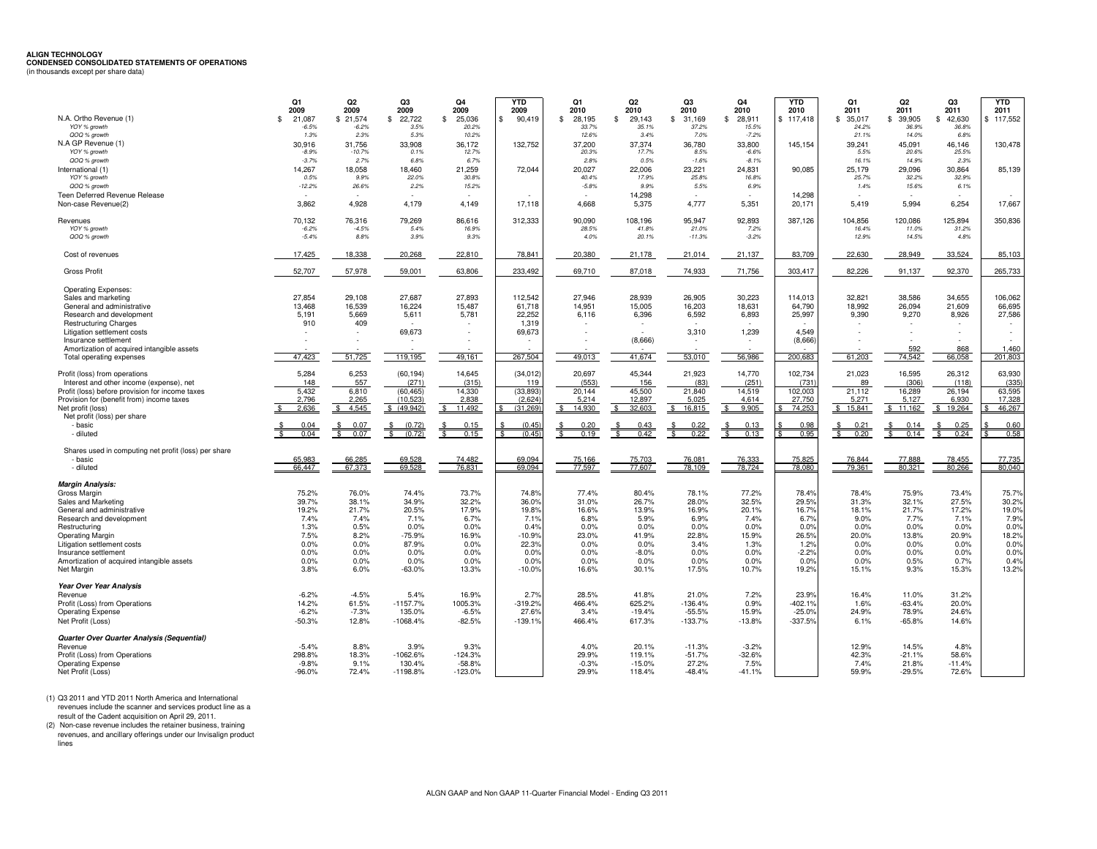## **ALIGN TECHNOLOGY CONDENSED CONSOLIDATED STATEMENTS OF OPERATIONS**

(in thousands except per share data)

| N.A. Ortho Revenue (1)                                                    | O <sub>1</sub><br>2009  | Q <sub>2</sub><br>2009 | Q3<br>2009           | O <sub>4</sub><br>2009<br>\$. | <b>YTD</b><br>2009<br>£. | Q1<br>2010             | Q <sub>2</sub><br>2010<br>£. | Q3<br>2010            | O <sub>4</sub><br>2010 | <b>YTD</b><br>2010 | Q1<br>2011            | Q <sub>2</sub><br>2011 | Q3<br>2011<br>$\mathbf{\hat{s}}$ | <b>YTD</b><br>2011 |
|---------------------------------------------------------------------------|-------------------------|------------------------|----------------------|-------------------------------|--------------------------|------------------------|------------------------------|-----------------------|------------------------|--------------------|-----------------------|------------------------|----------------------------------|--------------------|
| YOY % growth                                                              | 21,087<br>\$<br>$-6.5%$ | \$21,574<br>$-6.2%$    | \$<br>22,722<br>3.5% | 25,036<br>20.2%               | 90,419                   | 28,195<br>\$<br>33.7%  | 29,143<br>35.1%              | \$<br>31,169<br>37.2% | 28,911<br>\$<br>15.5%  | \$117,418          | 35,017<br>\$<br>24.2% | \$39,905<br>36.9%      | 42,630<br>36.8%                  | \$117,552          |
| QOQ % growth                                                              | 1.3%                    | 2.3%                   | 5.3%                 | 10.2%                         |                          | 12.6%                  | 3.4%                         | 7.0%                  | $-7.2%$                |                    | 21.1%                 | 14.0%                  | 6.8%                             |                    |
| N.A GP Revenue (1)                                                        | 30.916                  | 31.756                 | 33,908               | 36.172                        | 132.752                  | 37.200                 | 37.374                       | 36,780                | 33,800                 | 145.154            | 39.241                | 45.091                 | 46.146                           | 130,478            |
| YOY % growth                                                              | $-8.9%$                 | $-10.7%$               | 0.1%                 | 12.7%                         |                          | 20.3%                  | 17.7%                        | 8.5%                  | $-6.6%$                |                    | 5.5%                  | 20.6%                  | 25.5%                            |                    |
| QOQ % growth                                                              | $-3.7%$                 | 2.7%                   | 6.8%                 | 6.7%                          |                          | 2.8%                   | 0.5%                         | $-1.6%$               | $-8.1%$                |                    | 16.1%                 | 14.9%                  | 2.3%                             |                    |
| International (1)                                                         | 14,267                  | 18,058                 | 18,460               | 21,259                        | 72,044                   | 20,027                 | 22,006                       | 23,221                | 24,831                 | 90,085             | 25,179                | 29,096                 | 30,864                           | 85,139             |
| YOY % growth                                                              | 0.5%                    | 9.9%                   | 22.0%                | 30.8%                         |                          | 40.4%                  | 17.9%                        | 25.8%                 | 16.8%                  |                    | 25.7%                 | 32.2%                  | 32.9%                            |                    |
| QOQ % growth                                                              | $-12.2%$                | 26.6%                  | 2.2%                 | 15.2%                         |                          | $-5.8%$                | 9.9%                         | 5.5%                  | 6.9%                   |                    | 1.4%                  | 15.6%                  | 6.1%                             |                    |
| Teen Deferred Revenue Release                                             |                         |                        |                      |                               |                          |                        | 14,298                       |                       |                        | 14,298             |                       |                        |                                  |                    |
| Non-case Revenue(2)                                                       | 3,862                   | 4,928                  | 4,179                | 4,149                         | 17,118                   | 4,668                  | 5,375                        | 4,777                 | 5,351                  | 20,171             | 5,419                 | 5,994                  | 6,254                            | 17,667             |
|                                                                           |                         |                        |                      |                               |                          |                        |                              |                       |                        |                    |                       |                        |                                  |                    |
| Revenues                                                                  | 70,132                  | 76,316                 | 79,269               | 86,616                        | 312,333                  | 90,090                 | 108,196                      | 95,947                | 92,893                 | 387,126            | 104,856               | 120,086                | 125,894                          | 350,836            |
| YOY % growth                                                              | $-6.2%$                 | $-4.5%$                | 5.4%                 | 16.9%                         |                          | 28.5%                  | 41.8%                        | 21.0%                 | 7.2%                   |                    | 16.4%                 | 11.0%                  | 31.2%                            |                    |
| QOQ % growth                                                              | $-5.4%$                 | 8.8%                   | 3.9%                 | 9.3%                          |                          | 4.0%                   | 20.1%                        | $-11.3%$              | $-3.2%$                |                    | 12.9%                 | 14.5%                  | 4.8%                             |                    |
| Cost of revenues                                                          | 17,425                  | 18,338                 | 20,268               | 22,810                        | 78,841                   | 20,380                 | 21,178                       | 21,014                | 21,137                 | 83,709             | 22,630                | 28,949                 | 33,524                           | 85,103             |
| <b>Gross Profit</b>                                                       | 52,707                  | 57,978                 | 59,001               | 63,806                        | 233,492                  | 69,710                 | 87,018                       | 74,933                | 71,756                 | 303,417            | 82,226                | 91,137                 | 92,370                           | 265,733            |
|                                                                           |                         |                        |                      |                               |                          |                        |                              |                       |                        |                    |                       |                        |                                  |                    |
| <b>Operating Expenses:</b>                                                |                         |                        |                      |                               |                          |                        |                              |                       |                        |                    |                       |                        |                                  |                    |
| Sales and marketing                                                       | 27.854                  | 29.108                 | 27,687               | 27,893                        | 112.542                  | 27.946                 | 28.939                       | 26.905                | 30.223                 | 114.013            | 32.821                | 38.586                 | 34.655                           | 106,062            |
| General and administrative                                                | 13,468                  | 16,539                 | 16,224               | 15,487                        | 61,718                   | 14,951                 | 15,005                       | 16,203                | 18,631                 | 64,790             | 18,992                | 26,094                 | 21,609                           | 66,695             |
| Research and development                                                  | 5,191                   | 5,669                  | 5,611                | 5,781                         | 22,252                   | 6,116                  | 6,396                        | 6,592                 | 6,893                  | 25,997             | 9,390                 | 9,270                  | 8,926                            | 27,586             |
| <b>Restructuring Charges</b>                                              | 910                     | 409                    | $\sim$               |                               | 1,319                    |                        | $\sim$                       | $\sim$                |                        | 4,549              |                       |                        |                                  |                    |
| Litigation settlement costs<br>Insurance settlement                       |                         |                        | 69,673               |                               | 69,673                   |                        | (8,666)                      | 3,310                 | 1,239                  | (8,666)            |                       |                        |                                  |                    |
| Amortization of acquired intangible assets                                |                         |                        |                      |                               |                          |                        |                              |                       |                        |                    |                       | 592                    | 868                              | 1.460              |
| Total operating expenses                                                  | 47,423                  | 51,725                 | 119,195              | 49,161                        | 267,504                  | 49,013                 | 41,674                       | 53,010                | 56,986                 | 200,683            | 61,203                | 74,542                 | 66,058                           | 201,803            |
|                                                                           |                         |                        |                      |                               |                          | 20,697                 | 45,344                       |                       | 14,770                 |                    |                       |                        |                                  |                    |
| Profit (loss) from operations<br>Interest and other income (expense), net | 5,284<br>148            | 6,253<br>557           | (60, 194)<br>(271)   | 14,645<br>(315)               | (34, 012)<br>119         | (553)                  | 156                          | 21,923<br>(83)        | (251)                  | 102,734<br>(731)   | 21,023<br>89          | 16,595<br>(306)        | 26,312<br>(118)                  | 63,930<br>(335)    |
| Profit (loss) before provision for income taxes                           | 5,432                   | 6,810                  | (60, 465)            | 14,330                        | (33, 893)                | 20,144                 | 45,500                       | 21.840                | 14,519                 | 102,003            | 21,112                | 16,289                 | 26,194                           | 63,595             |
| Provision for (benefit from) income taxes                                 | 2,796                   | 2,265                  | (10.523)             | 2,838                         | (2,624)                  | 5.214                  | 12,897                       | 5,025                 | 4,614                  | 27,750             | 5.271                 | 5.127                  | 6,930                            | 17,328             |
| Net profit (loss)                                                         | 2.636                   | 4,545                  | \$ (49.942)          | 11,492                        | (31, 269)                | $\mathbf{r}$<br>14.930 | 32,603                       | 16,815                | 9.905                  | 74.253             | \$15,841              | \$11,162               | \$19,264                         | 46,267             |
| Net profit (loss) per share                                               |                         |                        |                      |                               |                          |                        |                              |                       |                        |                    |                       |                        |                                  |                    |
| - basic                                                                   | 0.04                    | 0.07                   | (0.72)               | 0.15                          | (0.45)                   | 0.20                   |                              |                       | 0.13                   | 0.98               | 0.21                  | 0.14                   | 0.25                             | 0.60               |
| - diluted                                                                 | 0.04                    | 0.07                   | (0.72)               | 0.15                          | (0.45)                   | 0.19                   | 0.42                         | 0.22                  | 0.13                   | 0.95               | 0.20                  | 0.14                   | 0.24                             | 0.58               |
|                                                                           |                         |                        |                      |                               |                          |                        |                              |                       |                        |                    |                       |                        |                                  |                    |
| Shares used in computing net profit (loss) per share                      |                         |                        |                      |                               |                          |                        |                              |                       |                        | 75.825             |                       |                        |                                  |                    |
| - basic                                                                   | 65.983<br>66.447        | 66.285<br>67.373       | 69.528<br>69.528     | 74.482<br>76.831              | 69.094<br>69.094         | 75.166<br>77.597       | 75.703<br>77.607             | 76.081<br>78.109      | 76.333<br>78.724       | 78,080             | 76.844<br>79.361      | 77.888<br>80.321       | 78.455<br>80.266                 | 77.735<br>80.040   |
| - diluted                                                                 |                         |                        |                      |                               |                          |                        |                              |                       |                        |                    |                       |                        |                                  |                    |
| <b>Margin Analysis:</b>                                                   |                         |                        |                      |                               |                          |                        |                              |                       |                        |                    |                       |                        |                                  |                    |
| Gross Margin                                                              | 75.2%                   | 76.0%                  | 74.4%                | 73.7%                         | 74.8%                    | 77.4%                  | 80.4%                        | 78.1%                 | 77.2%                  | 78.4%              | 78.4%                 | 75.9%                  | 73.4%                            | 75.7%              |
| Sales and Marketing                                                       | 39.7%                   | 38.1%                  | 34.9%                | 32.2%                         | 36.0%                    | 31.0%                  | 26.7%                        | 28.0%                 | 32.5%                  | 29.5%              | 31.3%                 | 32.1%                  | 27.5%                            | 30.2%              |
| General and administrative                                                | 19.2%                   | 21.7%                  | 20.5%                | 17.9%                         | 19.8%                    | 16.6%                  | 13.9%                        | 16.9%                 | 20.1%                  | 16.7%              | 18.1%                 | 21.7%                  | 17.2%                            | 19.0%              |
| Research and development                                                  | 7.4%                    | 7.4%                   | 7.1%                 | 6.7%                          | 7.1%                     | 6.8%                   | 5.9%                         | 6.9%                  | 7.4%                   | 6.7%               | 9.0%                  | 7.7%                   | 7.1%                             | 7.9%               |
| Restructuring                                                             | 1.3%                    | 0.5%                   | 0.0%                 | 0.0%                          | 0.4%                     | 0.0%                   | 0.0%                         | 0.0%                  | 0.0%                   | 0.0%               | 0.0%                  | 0.0%                   | 0.0%                             | 0.0%               |
| <b>Operating Margin</b>                                                   | 7.5%<br>0.0%            | 8.2%<br>0.0%           | $-75.9%$<br>87.9%    | 16.9%<br>0.0%                 | $-10.9%$<br>22.3%        | 23.0%<br>0.0%          | 41.9%<br>0.0%                | 22.8%<br>3.4%         | 15.9%<br>1.3%          | 26.5%<br>1.2%      | 20.0%<br>0.0%         | 13.8%<br>0.0%          | 20.9%<br>0.0%                    | 18.2%<br>0.0%      |
| Litigation settlement costs<br>Insurance settlement                       | 0.0%                    | 0.0%                   | 0.0%                 | 0.0%                          | $0.0$ °                  | 0.0%                   | $-8.0%$                      | 0.0%                  | 0.0%                   | $-2.2%$            | 0.0%                  | 0.0%                   | 0.0%                             | 0.0%               |
| Amortization of acquired intangible assets                                | 0.0%                    | 0.0%                   | 0.0%                 | 0.0%                          | $0.0$ %                  | 0.0%                   | 0.0%                         | 0.0%                  | 0.0%                   | 0.0%               | 0.0%                  | 0.5%                   | 0.7%                             | 0.4%               |
| Net Margin                                                                | 3.8%                    | 6.0%                   | $-63.0%$             | 13.3%                         | $-10.0%$                 | 16.6%                  | 30.1%                        | 17.5%                 | 10.7%                  | 19.2%              | 15.1%                 | 9.3%                   | 15.3%                            | 13.2%              |
| Year Over Year Analysis                                                   |                         |                        |                      |                               |                          |                        |                              |                       |                        |                    |                       |                        |                                  |                    |
| Revenue                                                                   | $-6.2%$                 | $-4.5%$                | 5.4%                 | 16.9%                         | 2.7%                     | 28.5%                  | 41.8%                        | 21.0%                 | 7.2%                   | 23.9%              | 16.4%                 | 11.0%                  | 31.2%                            |                    |
| Profit (Loss) from Operations                                             | 14.2%                   | 61.5%                  | $-1157.7%$           | 1005.3%                       | $-319.2%$                | 466.4%                 | 625.2%                       | $-136.4%$             | 0.9%                   | $-402.1%$          | 1.6%                  | $-63.4%$               | 20.0%                            |                    |
| <b>Operating Expense</b>                                                  | $-6.2%$                 | $-7.3%$                | 135.0%               | $-6.5%$                       | 27.6%                    | 3.4%                   | $-19.4%$                     | $-55.5%$              | 15.9%                  | $-25.0%$           | 24.9%                 | 78.9%                  | 24.6%                            |                    |
| Net Profit (Loss)                                                         | $-50.3%$                | 12.8%                  | $-1068.4%$           | $-82.5%$                      | $-139.1%$                | 466.4%                 | 617.3%                       | $-133.7%$             | $-13.8%$               | $-337.5%$          | 6.1%                  | $-65.8%$               | 14.6%                            |                    |
| <b>Quarter Over Quarter Analysis (Sequential)</b>                         |                         |                        |                      |                               |                          |                        |                              |                       |                        |                    |                       |                        |                                  |                    |
| Revenue                                                                   | $-5.4%$                 | 8.8%                   | 3.9%                 | 9.3%                          |                          | 4.0%                   | 20.1%                        | $-11.3%$              | $-3.2%$                |                    | 12.9%                 | 14.5%                  | 4.8%                             |                    |
| Profit (Loss) from Operations                                             | 298.8%                  | 18.3%                  | $-1062.6%$           | $-124.3%$                     |                          | 29.9%                  | 119.1%                       | $-51.7%$              | $-32.6%$               |                    | 42.3%                 | $-21.1%$               | 58.6%                            |                    |
| <b>Operating Expense</b>                                                  | $-9.8%$                 | 9.1%                   | 130.4%               | $-58.8%$                      |                          | $-0.3%$                | $-15.0%$                     | 27.2%                 | 7.5%                   |                    | 7.4%                  | 21.8%                  | $-11.4%$                         |                    |
| Net Profit (Loss)                                                         | $-96.0%$                | 72.4%                  | $-1198.8%$           | $-123.0%$                     |                          | 29.9%                  | 118.4%                       | $-48.4%$              | $-41.1%$               |                    | 59.9%                 | $-29.5%$               | 72.6%                            |                    |

(1) Q3 2011 and YTD 2011 North America and International<br>revenues include the scanner and services product line as a

result of the Cadent acquisition on April 29, 2011.<br>
(2) Non-case revenue includes the retainer business, training<br>
revenues, and ancillary offerings under our Invisalign product lines